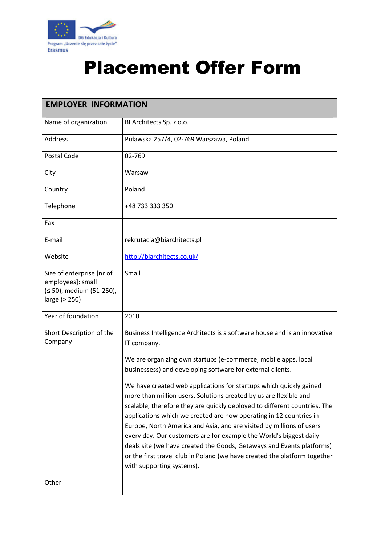

## Placement Offer Form

| <b>EMPLOYER INFORMATION</b>                                                                 |                                                                                                                                                                                                                                                                                                                                                                                                                                                                                                                                                                                                                             |  |
|---------------------------------------------------------------------------------------------|-----------------------------------------------------------------------------------------------------------------------------------------------------------------------------------------------------------------------------------------------------------------------------------------------------------------------------------------------------------------------------------------------------------------------------------------------------------------------------------------------------------------------------------------------------------------------------------------------------------------------------|--|
| Name of organization                                                                        | BI Architects Sp. z o.o.                                                                                                                                                                                                                                                                                                                                                                                                                                                                                                                                                                                                    |  |
| <b>Address</b>                                                                              | Puławska 257/4, 02-769 Warszawa, Poland                                                                                                                                                                                                                                                                                                                                                                                                                                                                                                                                                                                     |  |
| Postal Code                                                                                 | 02-769                                                                                                                                                                                                                                                                                                                                                                                                                                                                                                                                                                                                                      |  |
| City                                                                                        | Warsaw                                                                                                                                                                                                                                                                                                                                                                                                                                                                                                                                                                                                                      |  |
| Country                                                                                     | Poland                                                                                                                                                                                                                                                                                                                                                                                                                                                                                                                                                                                                                      |  |
| Telephone                                                                                   | +48 733 333 350                                                                                                                                                                                                                                                                                                                                                                                                                                                                                                                                                                                                             |  |
| Fax                                                                                         | $\overline{a}$                                                                                                                                                                                                                                                                                                                                                                                                                                                                                                                                                                                                              |  |
| E-mail                                                                                      | rekrutacja@biarchitects.pl                                                                                                                                                                                                                                                                                                                                                                                                                                                                                                                                                                                                  |  |
| Website                                                                                     | http://biarchitects.co.uk/                                                                                                                                                                                                                                                                                                                                                                                                                                                                                                                                                                                                  |  |
| Size of enterprise [nr of<br>employees]: small<br>(≤ 50), medium (51-250),<br>large (> 250) | Small                                                                                                                                                                                                                                                                                                                                                                                                                                                                                                                                                                                                                       |  |
| Year of foundation                                                                          | 2010                                                                                                                                                                                                                                                                                                                                                                                                                                                                                                                                                                                                                        |  |
| Short Description of the<br>Company                                                         | Business Intelligence Architects is a software house and is an innovative<br>IT company.                                                                                                                                                                                                                                                                                                                                                                                                                                                                                                                                    |  |
|                                                                                             | We are organizing own startups (e-commerce, mobile apps, local<br>businessess) and developing software for external clients.                                                                                                                                                                                                                                                                                                                                                                                                                                                                                                |  |
|                                                                                             | We have created web applications for startups which quickly gained<br>more than million users. Solutions created by us are flexible and<br>scalable, therefore they are quickly deployed to different countries. The<br>applications which we created are now operating in 12 countries in<br>Europe, North America and Asia, and are visited by millions of users<br>every day. Our customers are for example the World's biggest daily<br>deals site (we have created the Goods, Getaways and Events platforms)<br>or the first travel club in Poland (we have created the platform together<br>with supporting systems). |  |
| Other                                                                                       |                                                                                                                                                                                                                                                                                                                                                                                                                                                                                                                                                                                                                             |  |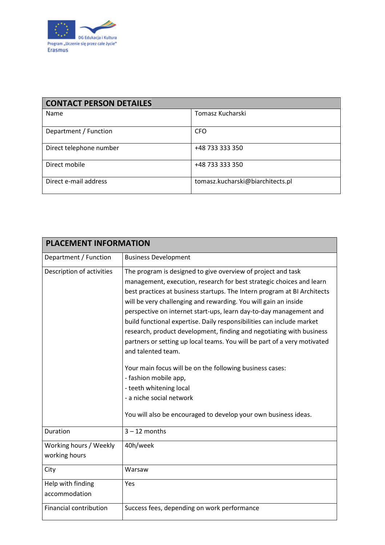

| <b>CONTACT PERSON DETAILES</b> |                                  |  |
|--------------------------------|----------------------------------|--|
| Name                           | Tomasz Kucharski                 |  |
| Department / Function          | <b>CFO</b>                       |  |
| Direct telephone number        | +48 733 333 350                  |  |
| Direct mobile                  | +48 733 333 350                  |  |
| Direct e-mail address          | tomasz.kucharski@biarchitects.pl |  |

| <b>PLACEMENT INFORMATION</b>            |                                                                                                                                                                                                                                                                                                                                                                                                                                                                                                                                                                                                                                                                                                                                                                                                                             |  |
|-----------------------------------------|-----------------------------------------------------------------------------------------------------------------------------------------------------------------------------------------------------------------------------------------------------------------------------------------------------------------------------------------------------------------------------------------------------------------------------------------------------------------------------------------------------------------------------------------------------------------------------------------------------------------------------------------------------------------------------------------------------------------------------------------------------------------------------------------------------------------------------|--|
| Department / Function                   | <b>Business Development</b>                                                                                                                                                                                                                                                                                                                                                                                                                                                                                                                                                                                                                                                                                                                                                                                                 |  |
| Description of activities               | The program is designed to give overview of project and task<br>management, execution, research for best strategic choices and learn<br>best practices at business startups. The Intern program at BI Architects<br>will be very challenging and rewarding. You will gain an inside<br>perspective on internet start-ups, learn day-to-day management and<br>build functional expertise. Daily responsibilities can include market<br>research, product development, finding and negotiating with business<br>partners or setting up local teams. You will be part of a very motivated<br>and talented team.<br>Your main focus will be on the following business cases:<br>- fashion mobile app,<br>- teeth whitening local<br>- a niche social network<br>You will also be encouraged to develop your own business ideas. |  |
| Duration                                | $3 - 12$ months                                                                                                                                                                                                                                                                                                                                                                                                                                                                                                                                                                                                                                                                                                                                                                                                             |  |
| Working hours / Weekly<br>working hours | 40h/week                                                                                                                                                                                                                                                                                                                                                                                                                                                                                                                                                                                                                                                                                                                                                                                                                    |  |
| City                                    | Warsaw                                                                                                                                                                                                                                                                                                                                                                                                                                                                                                                                                                                                                                                                                                                                                                                                                      |  |
| Help with finding<br>accommodation      | Yes                                                                                                                                                                                                                                                                                                                                                                                                                                                                                                                                                                                                                                                                                                                                                                                                                         |  |
| <b>Financial contribution</b>           | Success fees, depending on work performance                                                                                                                                                                                                                                                                                                                                                                                                                                                                                                                                                                                                                                                                                                                                                                                 |  |